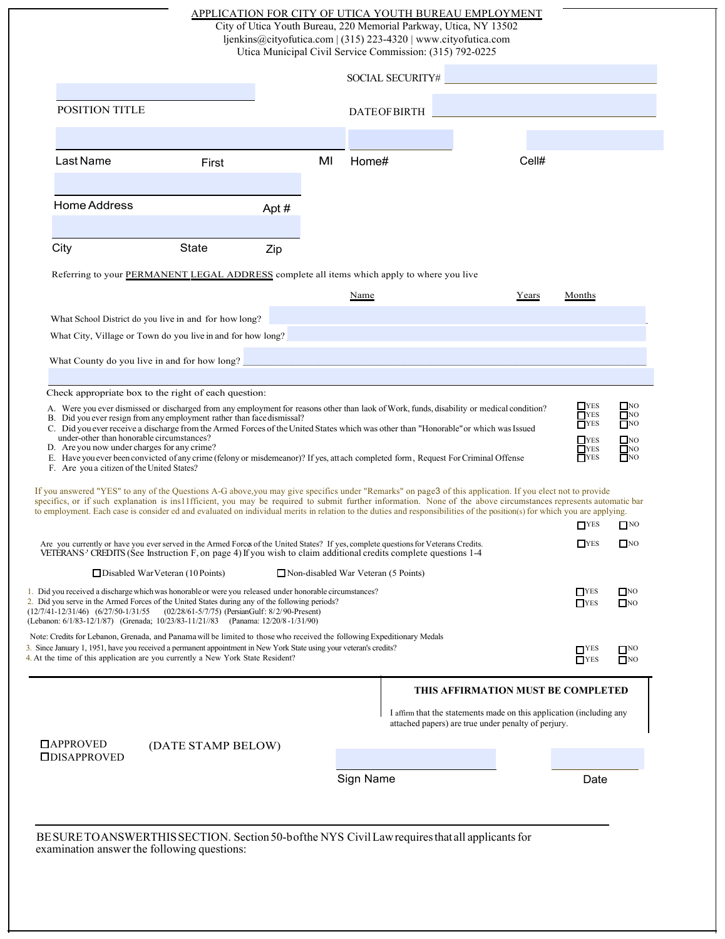|                                                                                                                                        |                                                                                                                                                                                                                                                                                                                                                  |      |    | APPLICATION FOR CITY OF UTICA YOUTH BUREAU EMPLOYMENT<br>City of Utica Youth Bureau, 220 Memorial Parkway, Utica, NY 13502<br>ljenkins@cityofutica.com   (315) 223-4320   www.cityofutica.com<br>Utica Municipal Civil Service Commission: (315) 792-0225                                                                                                                                                                                                                                                |                                                                                                                             |                                                                                            |                                                                                                              |
|----------------------------------------------------------------------------------------------------------------------------------------|--------------------------------------------------------------------------------------------------------------------------------------------------------------------------------------------------------------------------------------------------------------------------------------------------------------------------------------------------|------|----|----------------------------------------------------------------------------------------------------------------------------------------------------------------------------------------------------------------------------------------------------------------------------------------------------------------------------------------------------------------------------------------------------------------------------------------------------------------------------------------------------------|-----------------------------------------------------------------------------------------------------------------------------|--------------------------------------------------------------------------------------------|--------------------------------------------------------------------------------------------------------------|
|                                                                                                                                        |                                                                                                                                                                                                                                                                                                                                                  |      |    | SOCIAL SECURITY#                                                                                                                                                                                                                                                                                                                                                                                                                                                                                         |                                                                                                                             |                                                                                            |                                                                                                              |
| POSITION TITLE                                                                                                                         |                                                                                                                                                                                                                                                                                                                                                  |      |    | <b>DATEOFBIRTH</b>                                                                                                                                                                                                                                                                                                                                                                                                                                                                                       |                                                                                                                             |                                                                                            |                                                                                                              |
|                                                                                                                                        |                                                                                                                                                                                                                                                                                                                                                  |      |    |                                                                                                                                                                                                                                                                                                                                                                                                                                                                                                          |                                                                                                                             |                                                                                            |                                                                                                              |
| Last Name                                                                                                                              | First                                                                                                                                                                                                                                                                                                                                            |      | MI | Home#                                                                                                                                                                                                                                                                                                                                                                                                                                                                                                    | Cell#                                                                                                                       |                                                                                            |                                                                                                              |
| Home Address                                                                                                                           |                                                                                                                                                                                                                                                                                                                                                  | Apt# |    |                                                                                                                                                                                                                                                                                                                                                                                                                                                                                                          |                                                                                                                             |                                                                                            |                                                                                                              |
| City                                                                                                                                   | State                                                                                                                                                                                                                                                                                                                                            | Zip  |    |                                                                                                                                                                                                                                                                                                                                                                                                                                                                                                          |                                                                                                                             |                                                                                            |                                                                                                              |
|                                                                                                                                        |                                                                                                                                                                                                                                                                                                                                                  |      |    | Referring to your PERMANENT LEGAL ADDRESS complete all items which apply to where you live                                                                                                                                                                                                                                                                                                                                                                                                               |                                                                                                                             |                                                                                            |                                                                                                              |
|                                                                                                                                        |                                                                                                                                                                                                                                                                                                                                                  |      |    | Name                                                                                                                                                                                                                                                                                                                                                                                                                                                                                                     | Years                                                                                                                       | Months                                                                                     |                                                                                                              |
|                                                                                                                                        | What School District do you live in and for how long?                                                                                                                                                                                                                                                                                            |      |    |                                                                                                                                                                                                                                                                                                                                                                                                                                                                                                          |                                                                                                                             |                                                                                            |                                                                                                              |
|                                                                                                                                        | What City, Village or Town do you live in and for how long?                                                                                                                                                                                                                                                                                      |      |    |                                                                                                                                                                                                                                                                                                                                                                                                                                                                                                          |                                                                                                                             |                                                                                            |                                                                                                              |
| What County do you live in and for how long?                                                                                           |                                                                                                                                                                                                                                                                                                                                                  |      |    |                                                                                                                                                                                                                                                                                                                                                                                                                                                                                                          |                                                                                                                             |                                                                                            |                                                                                                              |
|                                                                                                                                        | Check appropriate box to the right of each question:                                                                                                                                                                                                                                                                                             |      |    |                                                                                                                                                                                                                                                                                                                                                                                                                                                                                                          |                                                                                                                             |                                                                                            |                                                                                                              |
| under-other than honorable circumstances?<br>D. Are you now under charges for any crime?<br>F. Are you a citizen of the United States? | B. Did you ever resign from any employment rather than face dismissal?                                                                                                                                                                                                                                                                           |      |    | A. Were you ever dismissed or discharged from any employment for reasons other than laok of Work, funds, disability or medical condition?<br>C. Did you ever receive a discharge from the Armed Forces of the United States which was other than "Honorable" or which was Issued<br>E. Have you ever been convicted of any crime (felony or misdemeanor)? If yes, attach completed form, Request For Criminal Offense                                                                                    |                                                                                                                             | $\Gamma$ YES<br>$\Box$ YES<br>$\Box$ YES<br>$\Box$ YES<br>T <sub>YES</sub><br>$\Gamma$ YES | $\Box$ NO<br>$\Box$ NO<br>$\square$ <sup>NO</sup><br>$\square$ NO<br>$\square$ <sup>NO</sup><br>$\square$ NO |
|                                                                                                                                        |                                                                                                                                                                                                                                                                                                                                                  |      |    | If you answered "YES" to any of the Questions A-G above, you may give specifics under "Remarks" on page3 of this application. If you elect not to provide<br>specifics, or if such explanation is ins11fficient, you may be required to submit further information. None of the above circumstances represents automatic bar<br>to employment. Each case is consider ed and evaluated on individual merits in relation to the duties and responsibilities of the position(s) for which you are applying. |                                                                                                                             | T <sub>YES</sub>                                                                           | $\Box$ NO                                                                                                    |
|                                                                                                                                        |                                                                                                                                                                                                                                                                                                                                                  |      |    | Are you currently or have you ever served in the Armed Force of the United States? If yes, complete questions for Veterans Credits.<br>VETERANS' CREDITS (See Instruction F, on page 4) If you wish to claim additional credits complete questions 1-4                                                                                                                                                                                                                                                   |                                                                                                                             | $\Box$ YES                                                                                 | $\Box$ NO                                                                                                    |
|                                                                                                                                        | □ Disabled War Veteran (10 Points)                                                                                                                                                                                                                                                                                                               |      |    | Non-disabled War Veteran (5 Points)                                                                                                                                                                                                                                                                                                                                                                                                                                                                      |                                                                                                                             |                                                                                            |                                                                                                              |
| $(12/7/41 - 12/31/46)$ $(6/27/50 - 1/31/55)$                                                                                           | 1. Did you received a discharge which was honorable or were you released under honorable circumstances?<br>2. Did you serve in the Armed Forces of the United States during any of the following periods?<br>(02/28/61-5/7/75) (PersianGulf: 8/2/90-Present)<br>(Lebanon: 6/1/83-12/1/87) (Grenada; 10/23/83-11/21//83 (Panama: 12/20/8-1/31/90) |      |    |                                                                                                                                                                                                                                                                                                                                                                                                                                                                                                          |                                                                                                                             | $\Box$ YES<br>$\Box$ YES                                                                   | $\Box$ NO<br>$\square$ NO                                                                                    |
|                                                                                                                                        | Note: Credits for Lebanon, Grenada, and Panama will be limited to those who received the following Expeditionary Medals<br>3. Since January 1, 1951, have you received a permanent appointment in New York State using your veteran's credits?<br>4. At the time of this application are you currently a New York State Resident?                |      |    |                                                                                                                                                                                                                                                                                                                                                                                                                                                                                                          |                                                                                                                             | $\Box$ YES<br>$\Box$ YES                                                                   | $\square$ <sup>NO</sup><br>$\square$ <sup>NO</sup>                                                           |
|                                                                                                                                        |                                                                                                                                                                                                                                                                                                                                                  |      |    |                                                                                                                                                                                                                                                                                                                                                                                                                                                                                                          | THIS AFFIRMATION MUST BE COMPLETED                                                                                          |                                                                                            |                                                                                                              |
|                                                                                                                                        |                                                                                                                                                                                                                                                                                                                                                  |      |    |                                                                                                                                                                                                                                                                                                                                                                                                                                                                                                          | I affirm that the statements made on this application (including any<br>attached papers) are true under penalty of perjury. |                                                                                            |                                                                                                              |
| <b>OAPPROVED</b><br><b>ODISAPPROVED</b>                                                                                                | (DATE STAMP BELOW)                                                                                                                                                                                                                                                                                                                               |      |    |                                                                                                                                                                                                                                                                                                                                                                                                                                                                                                          |                                                                                                                             |                                                                                            |                                                                                                              |
|                                                                                                                                        |                                                                                                                                                                                                                                                                                                                                                  |      |    | Sign Name                                                                                                                                                                                                                                                                                                                                                                                                                                                                                                |                                                                                                                             | Date                                                                                       |                                                                                                              |
|                                                                                                                                        |                                                                                                                                                                                                                                                                                                                                                  |      |    |                                                                                                                                                                                                                                                                                                                                                                                                                                                                                                          |                                                                                                                             |                                                                                            |                                                                                                              |
|                                                                                                                                        |                                                                                                                                                                                                                                                                                                                                                  |      |    |                                                                                                                                                                                                                                                                                                                                                                                                                                                                                                          |                                                                                                                             |                                                                                            |                                                                                                              |